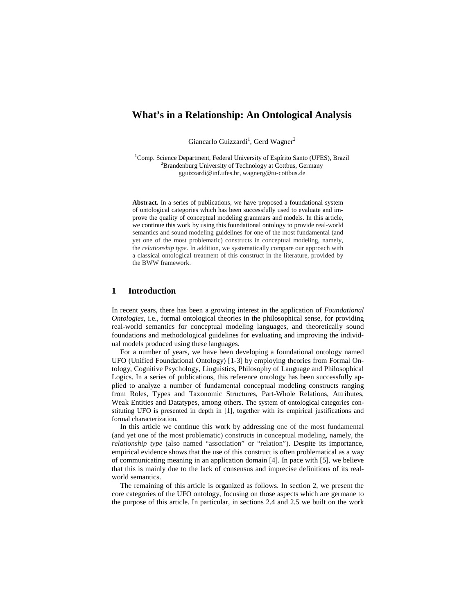# **What's in a Relationship: An Ontological Analysis**

Giancarlo Guizzardi<sup>1</sup>, Gerd Wagner<sup>2</sup>

<sup>1</sup>Comp. Science Department, Federal University of Espírito Santo (UFES), Brazil <sup>2</sup>Brandenburg University of Technology at Cottbus, Germany gguizzardi@inf.ufes.br, wagnerg@tu-cottbus.de

**Abstract.** In a series of publications, we have proposed a foundational system of ontological categories which has been successfully used to evaluate and improve the quality of conceptual modeling grammars and models. In this article, we continue this work by using this foundational ontology to provide real-world semantics and sound modeling guidelines for one of the most fundamental (and yet one of the most problematic) constructs in conceptual modeling, namely, the *relationship type*. In addition, we systematically compare our approach with a classical ontological treatment of this construct in the literature, provided by the BWW framework.

### **1 Introduction**

In recent years, there has been a growing interest in the application of *Foundational Ontologies*, i.e., formal ontological theories in the philosophical sense, for providing real-world semantics for conceptual modeling languages, and theoretically sound foundations and methodological guidelines for evaluating and improving the individual models produced using these languages.

For a number of years, we have been developing a foundational ontology named UFO (Unified Foundational Ontology) [1-3] by employing theories from Formal Ontology, Cognitive Psychology, Linguistics, Philosophy of Language and Philosophical Logics. In a series of publications, this reference ontology has been successfully applied to analyze a number of fundamental conceptual modeling constructs ranging from Roles, Types and Taxonomic Structures, Part-Whole Relations, Attributes, Weak Entities and Datatypes, among others. The system of ontological categories constituting UFO is presented in depth in [1], together with its empirical justifications and formal characterization.

In this article we continue this work by addressing one of the most fundamental (and yet one of the most problematic) constructs in conceptual modeling, namely, the *relationship type* (also named "association" or "relation"). Despite its importance, empirical evidence shows that the use of this construct is often problematical as a way of communicating meaning in an application domain [4]. In pace with [5], we believe that this is mainly due to the lack of consensus and imprecise definitions of its realworld semantics.

The remaining of this article is organized as follows. In section 2, we present the core categories of the UFO ontology, focusing on those aspects which are germane to the purpose of this article. In particular, in sections 2.4 and 2.5 we built on the work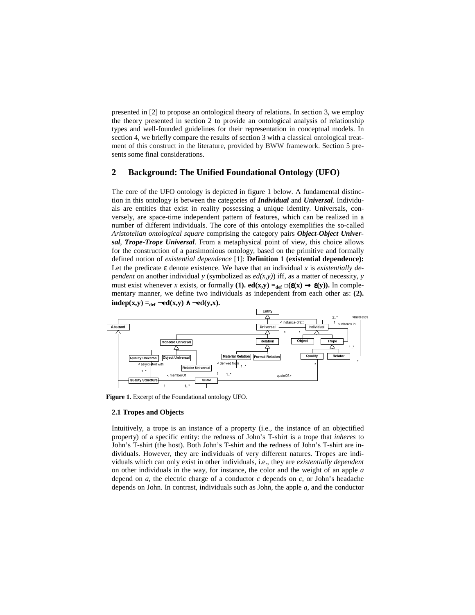presented in [2] to propose an ontological theory of relations. In section 3, we employ the theory presented in section 2 to provide an ontological analysis of relationship types and well-founded guidelines for their representation in conceptual models. In section 4, we briefly compare the results of section 3 with a classical ontological treatment of this construct in the literature, provided by BWW framework. Section 5 presents some final considerations.

## **2 Background: The Unified Foundational Ontology (UFO)**

The core of the UFO ontology is depicted in figure 1 below. A fundamental distinction in this ontology is between the categories of *Individual* and *Universal*. Individuals are entities that exist in reality possessing a unique identity. Universals, conversely, are space-time independent pattern of features, which can be realized in a number of different individuals. The core of this ontology exemplifies the so-called *Aristotelian ontological square* comprising the category pairs *Object-Object Universal*, *Trope-Trope Universal*. From a metaphysical point of view, this choice allows for the construction of a parsimonious ontology, based on the primitive and formally defined notion of *existential dependence* [1]: **Definition 1 (existential dependence):** Let the predicate ε denote existence. We have that an individual *x* is *existentially dependent* on another individual *y* (symbolized as  $ed(x, y)$ ) iff, as a matter of necessity, *y* must exist whenever *x* exists, or formally (1).  $ed(x,y) =_{def} \Box(e(x) \rightarrow e(y))$ . In complementary manner, we define two individuals as independent from each other as: **(2).**  $\text{indep}(x,y) =_{def} \neg \text{ed}(x,y) \land \neg \text{ed}(y,x).$ 



**Figure 1.** Excerpt of the Foundational ontology UFO.

### **2.1 Tropes and Objects**

Intuitively, a trope is an instance of a property (i.e., the instance of an objectified property) of a specific entity: the redness of John's T-shirt is a trope that *inheres* to John's T-shirt (the host). Both John's T-shirt and the redness of John's T-shirt are individuals. However, they are individuals of very different natures. Tropes are individuals which can only exist in other individuals, i.e., they are *existentially dependent* on other individuals in the way, for instance, the color and the weight of an apple *a* depend on *a*, the electric charge of a conductor *c* depends on *c*, or John's headache depends on John. In contrast, individuals such as John, the apple *a*, and the conductor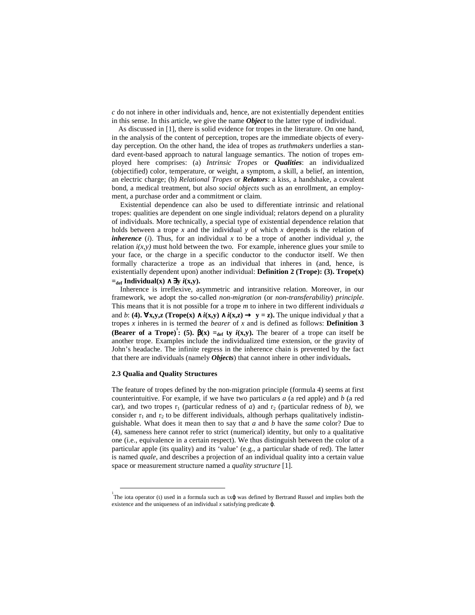*c* do not inhere in other individuals and, hence, are not existentially dependent entities in this sense. In this article, we give the name *Object* to the latter type of individual.

As discussed in [1], there is solid evidence for tropes in the literature. On one hand, in the analysis of the content of perception, tropes are the immediate objects of everyday perception. On the other hand, the idea of tropes as *truthmakers* underlies a standard event-based approach to natural language semantics. The notion of tropes employed here comprises: (a) *Intrinsic Tropes* or *Qualities*: an individualized (objectified) color, temperature, or weight, a symptom, a skill, a belief, an intention, an electric charge; (b) *Relational Tropes* or *Relators*: a kiss, a handshake, a covalent bond, a medical treatment, but also *social objects* such as an enrollment, an employment, a purchase order and a commitment or claim.

Existential dependence can also be used to differentiate intrinsic and relational tropes: qualities are dependent on one single individual; relators depend on a plurality of individuals. More technically, a special type of existential dependence relation that holds between a trope *x* and the individual *y* of which *x* depends is the relation of *inherence* (*i*). Thus, for an individual *x* to be a trope of another individual *y*, the relation  $i(x, y)$  must hold between the two. For example, inherence glues your smile to your face, or the charge in a specific conductor to the conductor itself. We then formally characterize a trope as an individual that inheres in (and, hence, is existentially dependent upon) another individual: **Definition 2 (Trope): (3). Trope(x) =def Individual(x)** ∧ ∃**y** *i***(x,y).** 

Inherence is irreflexive, asymmetric and intransitive relation. Moreover, in our framework, we adopt the so-called *non-migration* (or *non-transferability*) *principle*. This means that it is not possible for a trope *m* to inhere in two different individuals *a* and *b*: **(4).**  $\forall x, y, z$  (Trope(x)  $\land$  *i*(x,y)  $\land$  *i*(x,z)  $\rightarrow$  y = z). The unique individual *y* that a tropes *x* inheres in is termed the *bearer* of *x* and is defined as follows: **Definition 3 (Bearer of a Trope)**: **(5).**  $\beta(x) = \alpha_0 f(x)$  **i**  $i(x,y)$ . The bearer of a trope can itself be another trope. Examples include the individualized time extension, or the gravity of John's headache. The infinite regress in the inherence chain is prevented by the fact that there are individuals (namely *Objects*) that cannot inhere in other individuals**.** 

#### **2.3 Qualia and Quality Structures**

-

The feature of tropes defined by the non-migration principle (formula 4) seems at first counterintuitive. For example, if we have two particulars *a* (a red apple) and *b* (a red car), and two tropes  $r_1$  (particular redness of *a*) and  $r_2$  (particular redness of *b*), we consider  $r_1$  and  $r_2$  to be different individuals, although perhaps qualitatively indistinguishable. What does it mean then to say that *a* and *b* have the *same* color? Due to (4), sameness here cannot refer to strict (numerical) identity, but only to a qualitative one (i.e., equivalence in a certain respect). We thus distinguish between the color of a particular apple (its quality) and its 'value' (e.g., a particular shade of red). The latter is named *quale*, and describes a projection of an individual quality into a certain value space or measurement structure named a *quality structure* [1].

<sup>&</sup>lt;sup>1</sup> The iota operator (ι) used in a formula such as ιxφ was defined by Bertrand Russel and implies both the existence and the uniqueness of an individual *x* satisfying predicate ϕ.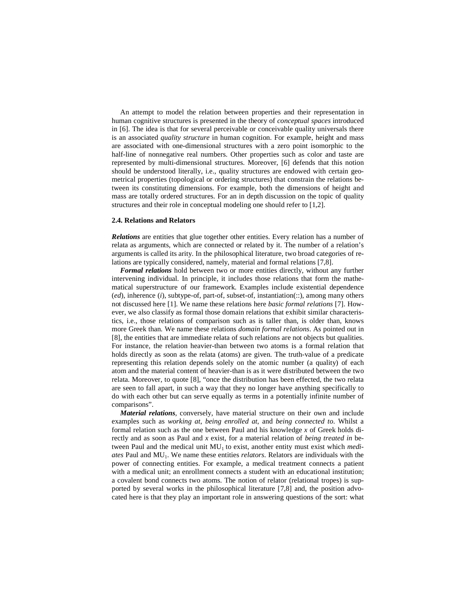An attempt to model the relation between properties and their representation in human cognitive structures is presented in the theory of *conceptual spaces* introduced in [6]. The idea is that for several perceivable or conceivable quality universals there is an associated *quality structure* in human cognition. For example, height and mass are associated with one-dimensional structures with a zero point isomorphic to the half-line of nonnegative real numbers. Other properties such as color and taste are represented by multi-dimensional structures. Moreover, [6] defends that this notion should be understood literally, i.e., quality structures are endowed with certain geometrical properties (topological or ordering structures) that constrain the relations between its constituting dimensions. For example, both the dimensions of height and mass are totally ordered structures. For an in depth discussion on the topic of quality structures and their role in conceptual modeling one should refer to [1,2].

#### **2.4. Relations and Relators**

*Relations* are entities that glue together other entities. Every relation has a number of relata as arguments, which are connected or related by it. The number of a relation's arguments is called its arity. In the philosophical literature, two broad categories of relations are typically considered, namely, material and formal relations [7,8].

*Formal relations* hold between two or more entities directly, without any further intervening individual. In principle, it includes those relations that form the mathematical superstructure of our framework. Examples include existential dependence (*ed*), inherence (*i*), subtype-of, part-of, subset-of, instantiation(::), among many others not discussed here [1]. We name these relations here *basic formal relations* [7]. However, we also classify as formal those domain relations that exhibit similar characteristics, i.e., those relations of comparison such as is taller than, is older than, knows more Greek than. We name these relations *domain formal relations*. As pointed out in [8], the entities that are immediate relata of such relations are not objects but qualities. For instance, the relation heavier-than between two atoms is a formal relation that holds directly as soon as the relata (atoms) are given. The truth-value of a predicate representing this relation depends solely on the atomic number (a quality) of each atom and the material content of heavier-than is as it were distributed between the two relata. Moreover, to quote [8], "once the distribution has been effected, the two relata are seen to fall apart, in such a way that they no longer have anything specifically to do with each other but can serve equally as terms in a potentially infinite number of comparisons".

*Material relations*, conversely, have material structure on their own and include examples such as *working at*, *being enrolled at*, and *being connected to*. Whilst a formal relation such as the one between Paul and his knowledge *x* of Greek holds directly and as soon as Paul and *x* exist, for a material relation of *being treated in* between Paul and the medical unit  $MU_1$  to exist, another entity must exist which *mediates* Paul and MU1. We name these entities *relators*. Relators are individuals with the power of connecting entities. For example, a medical treatment connects a patient with a medical unit; an enrollment connects a student with an educational institution; a covalent bond connects two atoms. The notion of relator (relational tropes) is supported by several works in the philosophical literature [7,8] and, the position advocated here is that they play an important role in answering questions of the sort: what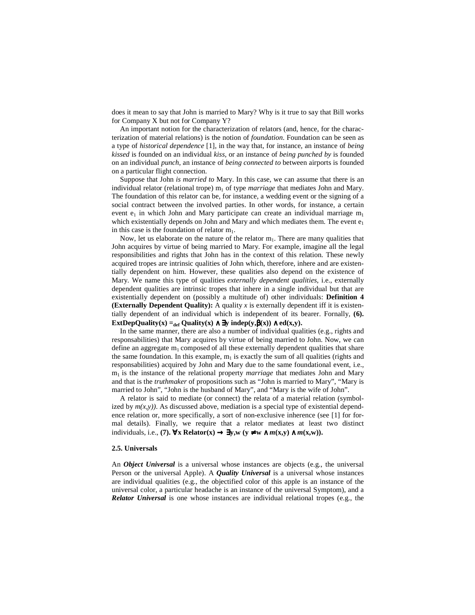does it mean to say that John is married to Mary? Why is it true to say that Bill works for Company X but not for Company Y?

An important notion for the characterization of relators (and, hence, for the characterization of material relations) is the notion of *foundation*. Foundation can be seen as a type of *historical dependence* [1], in the way that, for instance, an instance of *being kissed* is founded on an individual *kiss,* or an instance of *being punched by* is founded on an individual *punch*, an instance of *being connected to* between airports is founded on a particular flight connection.

Suppose that John *is married to* Mary. In this case, we can assume that there is an individual relator (relational trope) m<sub>1</sub> of type *marriage* that mediates John and Mary. The foundation of this relator can be, for instance, a wedding event or the signing of a social contract between the involved parties. In other words, for instance, a certain event  $e_1$  in which John and Mary participate can create an individual marriage  $m_1$ which existentially depends on John and Mary and which mediates them. The event  $e_1$ in this case is the foundation of relator  $m_1$ .

Now, let us elaborate on the nature of the relator  $m_1$ . There are many qualities that John acquires by virtue of being married to Mary. For example, imagine all the legal responsibilities and rights that John has in the context of this relation. These newly acquired tropes are intrinsic qualities of John which, therefore, inhere and are existentially dependent on him. However, these qualities also depend on the existence of Mary. We name this type of qualities *externally dependent qualities*, i.e., externally dependent qualities are intrinsic tropes that inhere in a single individual but that are existentially dependent on (possibly a multitude of) other individuals: **Definition 4 (Externally Dependent Quality):** A quality *x* is externally dependent iff it is existentially dependent of an individual which is independent of its bearer. Fornally, **(6). ExtDepQuality(x)** = $_{def}$  Quality(x)  $\land$  ∃y indep(y, $\beta(x)$ )  $\land$  ed(x,y).

In the same manner, there are also a number of individual qualities (e.g., rights and responsabilities) that Mary acquires by virtue of being married to John. Now, we can define an aggregate  $m_1$  composed of all these externally dependent qualities that share the same foundation. In this example,  $m_1$  is exactly the sum of all qualities (rights and responsabilities) acquired by John and Mary due to the same foundational event, i.e., m1 is the instance of the relational property *marriage* that mediates John and Mary and that is the *truthmaker* of propositions such as "John is married to Mary", "Mary is married to John", "John is the husband of Mary", and "Mary is the wife of John".

A relator is said to mediate (or connect) the relata of a material relation (symbolized by  $m(x, y)$ ). As discussed above, mediation is a special type of existential dependence relation or, more specifically, a sort of non-exclusive inherence (see [1] for formal details). Finally, we require that a relator mediates at least two distinct individuals, i.e., **(7).** ∀**x Relator(x)** → ∃**y,w (y** ≠ **w** ∧ *m***(x,y)** ∧ *m***(x,w)).** 

#### **2.5. Universals**

An *Object Universal* is a universal whose instances are objects (e.g., the universal Person or the universal Apple). A *Quality Universal* is a universal whose instances are individual qualities (e.g., the objectified color of this apple is an instance of the universal color, a particular headache is an instance of the universal Symptom), and a *Relator Universal* is one whose instances are individual relational tropes (e.g., the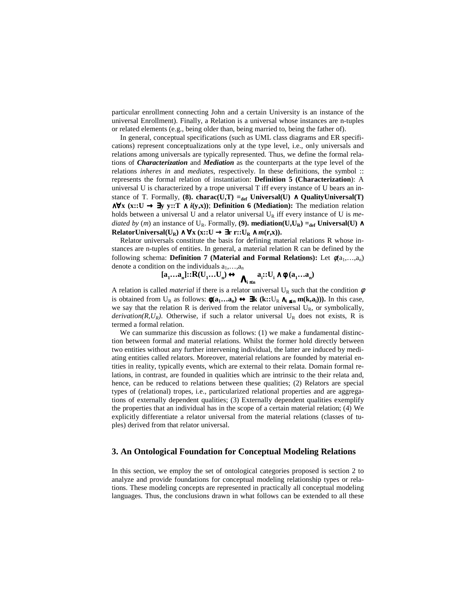particular enrollment connecting John and a certain University is an instance of the universal Enrollment). Finally, a Relation is a universal whose instances are n-tuples or related elements (e.g., being older than, being married to, being the father of).

In general, conceptual specifications (such as UML class diagrams and ER specifications) represent conceptualizations only at the type level, i.e., only universals and relations among universals are typically represented. Thus, we define the formal relations of *Characterization* and *Mediation* as the counterparts at the type level of the relations *inheres in* and *mediates*, respectively. In these definitions, the symbol :: represents the formal relation of instantiation: **Definition 5 (Characterization**): A universal U is characterized by a trope universal T iff every instance of U bears an instance of T. Formally, **(8). charac**(U,T) = $_{def}$  Universal(U)  $\land$  QualityUniversal(T) ∧∀**x (x::U** → ∃**y y::T** ∧ *i***(y,x))**; **Definition 6 (Mediation):** The mediation relation holds between a universal U and a relator universal U<sub>R</sub> iff every instance of U is *mediated by* (*m*) an instance of U<sub>R</sub>. Formally, (9). mediation(U,U<sub>R</sub>) = $_{def}$  Universal(U) ∧ **RelatorUniversal(U<sub>R</sub>**) ∧  $\forall$ **x** (**x**:**:U** → ∃**r r**::U<sub>R</sub> ∧ *m*(**r**,**x**)).

Relator universals constitute the basis for defining material relations R whose instances are n-tuples of entities. In general, a material relation R can be defined by the following schema: **Definition 7 (Material and Formal Relations):** Let  $\mathcal{O}(a_1,...,a_n)$ denote a condition on the individuals  $a_1, \ldots, a_n$ 

 $\{a_1 \dots a_n\}$ ::**R**( $U_1 \dots U_n$ )  $\leftrightarrow \bigwedge_{i \leq n} a_i$ :: $U_i \wedge \phi$  ( $a_1 \dots a_n$ )

A relation is called *material* if there is a relator universal  $U_R$  such that the condition  $\phi$ is obtained from  $U_R$  as follows:  $\phi(a_1 \ldots a_n) \leftrightarrow \exists k \ (\mathbf{k} : : U_R \wedge_{\mathbf{i} \leq n} \mathbf{m}(\mathbf{k}, a_i))$ ). In this case, we say that the relation R is derived from the relator universal  $U_R$ , or symbolically, *derivation(R,U<sub>R</sub>*). Otherwise, if such a relator universal U<sub>R</sub> does not exists, R is termed a formal relation.

We can summarize this discussion as follows: (1) we make a fundamental distinction between formal and material relations. Whilst the former hold directly between two entities without any further intervening individual, the latter are induced by mediating entities called relators. Moreover, material relations are founded by material entities in reality, typically events, which are external to their relata. Domain formal relations, in contrast, are founded in qualities which are intrinsic to the their relata and, hence, can be reduced to relations between these qualities; (2) Relators are special types of (relational) tropes, i.e., particularized relational properties and are aggregations of externally dependent qualities; (3) Externally dependent qualities exemplify the properties that an individual has in the scope of a certain material relation; (4) We explicitly differentiate a relator universal from the material relations (classes of tuples) derived from that relator universal.

## **3. An Ontological Foundation for Conceptual Modeling Relations**

In this section, we employ the set of ontological categories proposed is section 2 to analyze and provide foundations for conceptual modeling relationship types or relations. These modeling concepts are represented in practically all conceptual modeling languages. Thus, the conclusions drawn in what follows can be extended to all these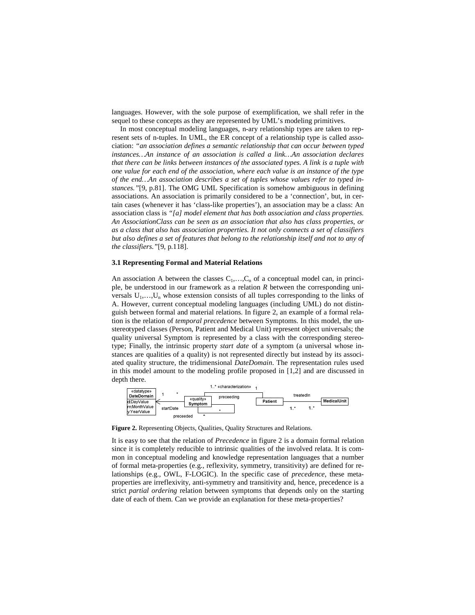languages. However, with the sole purpose of exemplification, we shall refer in the sequel to these concepts as they are represented by UML's modeling primitives.

In most conceptual modeling languages, n-ary relationship types are taken to represent sets of n-tuples. In UML, the ER concept of a relationship type is called association: *"an association defines a semantic relationship that can occur between typed instances…An instance of an association is called a link…An association declares that there can be links between instances of the associated types. A link is a tuple with one value for each end of the association, where each value is an instance of the type of the end…An association describes a set of tuples whose values refer to typed instances."*[9, p.81]. The OMG UML Specification is somehow ambiguous in defining associations. An association is primarily considered to be a 'connection', but, in certain cases (whenever it has 'class-like properties'), an association may be a class: An association class is *"[a] model element that has both association and class properties. An AssociationClass can be seen as an association that also has class properties, or as a class that also has association properties. It not only connects a set of classifiers but also defines a set of features that belong to the relationship itself and not to any of the classifiers."*[9, p.118].

#### **3.1 Representing Formal and Material Relations**

An association A between the classes  $C_1, \ldots, C_n$  of a conceptual model can, in principle, be understood in our framework as a relation *R* between the corresponding universals  $U_1, \ldots, U_n$  whose extension consists of all tuples corresponding to the links of A. However, current conceptual modeling languages (including UML) do not distinguish between formal and material relations. In figure 2, an example of a formal relation is the relation of *temporal precedence* between Symptoms. In this model, the unstereotyped classes (Person, Patient and Medical Unit) represent object universals; the quality universal Symptom is represented by a class with the corresponding stereotype; Finally, the intrinsic property *start date* of a symptom (a universal whose instances are qualities of a quality) is not represented directly but instead by its associated quality structure, the tridimensional *DateDomain*. The representation rules used in this model amount to the modeling profile proposed in [1,2] and are discussed in depth there.



Figure 2. Representing Objects, Qualities, Quality Structures and Relations.

It is easy to see that the relation of *Precedence* in figure 2 is a domain formal relation since it is completely reducible to intrinsic qualities of the involved relata. It is common in conceptual modeling and knowledge representation languages that a number of formal meta-properties (e.g., reflexivity, symmetry, transitivity) are defined for relationships (e.g., OWL, F-LOGIC). In the specific case of *precedence*, these metaproperties are irreflexivity, anti-symmetry and transitivity and, hence, precedence is a strict *partial ordering* relation between symptoms that depends only on the starting date of each of them. Can we provide an explanation for these meta-properties?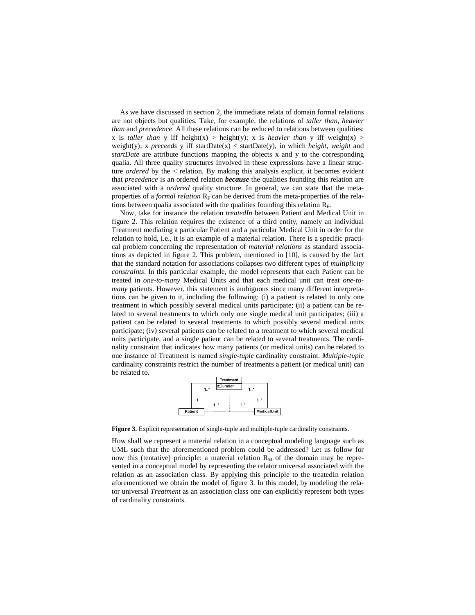As we have discussed in section 2, the immediate relata of domain formal relations are not objects but qualities. Take, for example, the relations of *taller than*, *heavier than* and *precedence*. All these relations can be reduced to relations between qualities: x is *taller than* y iff height(x) > height(y); x is *heavier than* y iff weight(x) > weight(y); x *preceeds* y iff startDate(x) < startDate(y), in which *height*, *weight* and *startDate* are attribute functions mapping the objects x and y to the corresponding qualia. All three quality structures involved in these expressions have a linear structure *ordered* by the < relation. By making this analysis explicit, it becomes evident that *precedence* is an ordered relation *because* the qualities founding this relation are associated with a *ordered* quality structure. In general, we can state that the metaproperties of a *formal relation*  $R_F$  can be derived from the meta-properties of the relations between qualia associated with the qualities founding this relation  $R_F$ .

Now, take for instance the relation *treatedIn* between Patient and Medical Unit in figure 2. This relation requires the existence of a third entity, namely an individual Treatment mediating a particular Patient and a particular Medical Unit in order for the relation to hold, i.e., it is an example of a material relation. There is a specific practical problem concerning the representation of *material relations* as standard associations as depicted in figure 2. This problem, mentioned in [10], is caused by the fact that the standard notation for associations collapses two different types of *multiplicity constraints*. In this particular example, the model represents that each Patient can be treated in *one-to-many* Medical Units and that each medical unit can treat *one-tomany* patients. However, this statement is ambiguous since many different interpretations can be given to it, including the following: (i) a patient is related to only one treatment in which possibly several medical units participate; (ii) a patient can be related to several treatments to which only one single medical unit participates; (iii) a patient can be related to several treatments to which possibly several medical units participate; (iv) several patients can be related to a treatment to which several medical units participate, and a single patient can be related to several treatments. The cardinality constraint that indicates how many patients (or medical units) can be related to one instance of Treatment is named *single-tuple* cardinality constraint. *Multiple-tuple* cardinality constraints restrict the number of treatments a patient (or medical unit) can be related to.



**Figure 3.** Explicit representation of single-tuple and multiple-tuple cardinality constraints.

How shall we represent a material relation in a conceptual modeling language such as UML such that the aforementioned problem could be addressed? Let us follow for now this (tentative) principle: a material relation  $R_M$  of the domain may be represented in a conceptual model by representing the relator universal associated with the relation as an association class. By applying this principle to the treatedIn relation aforementioned we obtain the model of figure 3. In this model, by modeling the relator universal *Treatment* as an association class one can explicitly represent both types of cardinality constraints.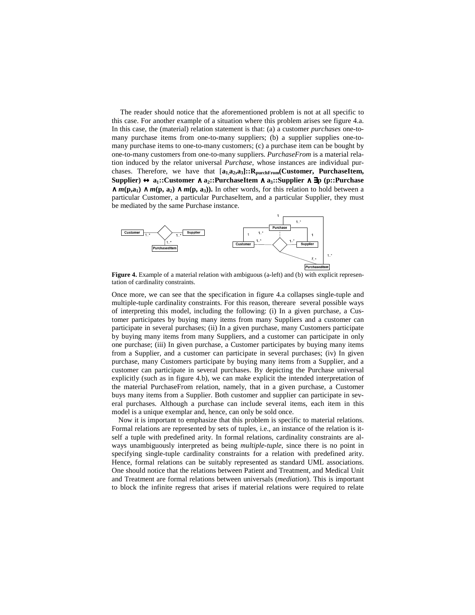The reader should notice that the aforementioned problem is not at all specific to this case. For another example of a situation where this problem arises see figure 4.a. In this case, the (material) relation statement is that: (a) a customer *purchases* one-tomany purchase items from one-to-many suppliers; (b) a supplier supplies one-tomany purchase items to one-to-many customers; (c) a purchase item can be bought by one-to-many customers from one-to-many suppliers. *PurchaseFrom* is a material relation induced by the relator universal *Purchase*, whose instances are individual purchases. Therefore, we have that  $[a_1,a_2,a_3]$ :: R<sub>purchFrom</sub>(Customer, PurchaseItem, **Supplier)** ↔ **a1::Customer** ∧ **a2::PurchaseItem** ∧ **a3::Supplier** ∧ ∃**p (p::Purchase**   $\wedge m(p, a_1) \wedge m(p, a_2) \wedge m(p, a_3)$ . In other words, for this relation to hold between a particular Customer, a particular PurchaseItem, and a particular Supplier, they must be mediated by the same Purchase instance.



**Figure 4.** Example of a material relation with ambiguous (a-left) and (b) with explicit representation of cardinality constraints.

Once more, we can see that the specification in figure 4.a collapses single-tuple and multiple-tuple cardinality constraints. For this reason, thereare several possible ways of interpreting this model, including the following: (i) In a given purchase, a Customer participates by buying many items from many Suppliers and a customer can participate in several purchases; (ii) In a given purchase, many Customers participate by buying many items from many Suppliers, and a customer can participate in only one purchase; (iii) In given purchase, a Customer participates by buying many items from a Supplier, and a customer can participate in several purchases; (iv) In given purchase, many Customers participate by buying many items from a Supplier, and a customer can participate in several purchases. By depicting the Purchase universal explicitly (such as in figure 4.b), we can make explicit the intended interpretation of the material PurchaseFrom relation, namely, that in a given purchase, a Customer buys many items from a Supplier. Both customer and supplier can participate in several purchases. Although a purchase can include several items, each item in this model is a unique exemplar and, hence, can only be sold once.

Now it is important to emphasize that this problem is specific to material relations. Formal relations are represented by sets of tuples, i.e., an instance of the relation is itself a tuple with predefined arity. In formal relations, cardinality constraints are always unambiguously interpreted as being *multiple-tuple*, since there is no point in specifying single-tuple cardinality constraints for a relation with predefined arity. Hence, formal relations can be suitably represented as standard UML associations. One should notice that the relations between Patient and Treatment, and Medical Unit and Treatment are formal relations between universals (*mediation*). This is important to block the infinite regress that arises if material relations were required to relate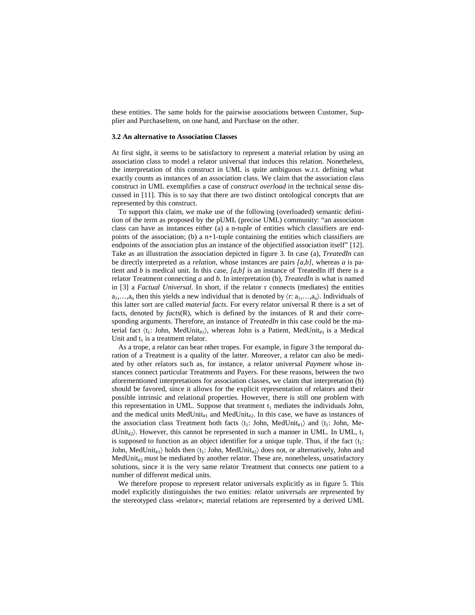these entities. The same holds for the pairwise associations between Customer, Supplier and PurchaseItem, on one hand, and Purchase on the other.

#### **3.2 An alternative to Association Classes**

At first sight, it seems to be satisfactory to represent a material relation by using an association class to model a relator universal that induces this relation. Nonetheless, the interpretation of this construct in UML is quite ambiguous w.r.t. defining what exactly counts as instances of an association class. We claim that the association class construct in UML exemplifies a case of *construct overload* in the technical sense discussed in [11]. This is to say that there are two distinct ontological concepts that are represented by this construct.

To support this claim, we make use of the following (overloaded) semantic definition of the term as proposed by the pUML (precise UML) community: "an associaton class can have as instances either (a) a n-tuple of entities which classifiers are endpoints of the association; (b) a  $n+1$ -tuple containing the entities which classifiers are endpoints of the association plus an instance of the objectified association itself" [12]. Take as an illustration the association depicted in figure 3. In case (a), *TreatedIn* can be directly interpreted as a *relation*, whose instances are pairs *[a,b]*, whereas *a* is patient and *b* is medical unit. In this case, *[a,b]* is an instance of TreatedIn iff there is a relator Treatment connecting *a* and *b*. In interpretation (b), *TreatedIn* is what is named in [3] a *Factual Universal*. In short, if the relator r connects (mediates) the entities  $a_1,...,a_n$  then this yields a new individual that is denoted by  $\langle r: a_1,...,a_n \rangle$ . Individuals of this latter sort are called *material facts*. For every relator universal R there is a set of facts, denoted by *facts*(R), which is defined by the instances of R and their corresponding arguments. Therefore, an instance of *TreatedIn* in this case could be the material fact  $\langle t_1: John, MedUnit_{\#1} \rangle$ , whereas John is a Patient, MedUnit<sub>#1</sub> is a Medical Unit and  $t_1$  is a treatment relator.

As a trope, a relator can bear other tropes. For example, in figure 3 the temporal duration of a Treatment is a quality of the latter. Moreover, a relator can also be mediated by other relators such as, for instance, a relator universal *Payment* whose instances connect particular Treatments and Payers. For these reasons, between the two aforementioned interpretations for association classes, we claim that interpretation (b) should be favored, since it allows for the explicit representation of relators and their possible intrinsic and relational properties. However, there is still one problem with this representation in UML. Suppose that treatment  $t_1$  mediates the individuals John, and the medical units MedUnit $_{#1}$  and MedUnit $_{#2}$ . In this case, we have as instances of the association class Treatment both facts  $\langle t_1$ : John, MedUnit<sub>#1</sub> $\rangle$  and  $\langle t_1$ : John, Me $dUnit_{\#2}$ . However, this cannot be represented in such a manner in UML. In UML,  $t_1$ is supposed to function as an object identifier for a unique tuple. Thus, if the fact  $\langle t_1 \rangle$ : John, MedUnit<sub>#1</sub> $\rangle$  holds then  $\langle t_1: John, MedUnit_{#2} \rangle$  does not, or alternatively, John and MedUnit $_{\#2}$  must be mediated by another relator. These are, nonetheless, unsatisfactory solutions, since it is the very same relator Treatment that connects one patient to a number of different medical units.

We therefore propose to represent relator universals explicitly as in figure 5. This model explicitly distinguishes the two entities: relator universals are represented by the stereotyped class «relator»; material relations are represented by a derived UML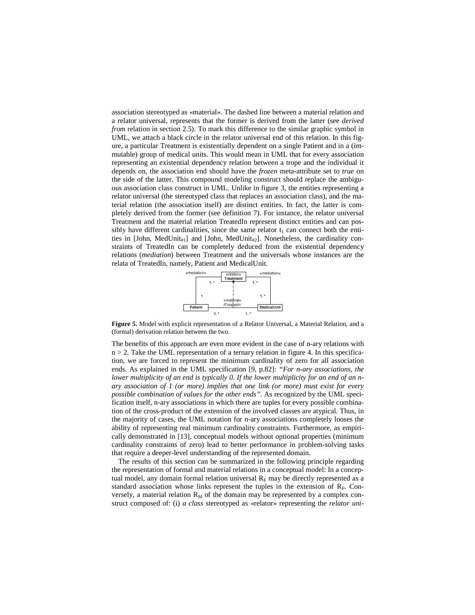association stereotyped as «material». The dashed line between a material relation and a relator universal, represents that the former is derived from the latter (see *derived from* relation in section 2.5). To mark this difference to the similar graphic symbol in UML, we attach a black circle in the relator universal end of this relation. In this figure, a particular Treatment is existentially dependent on a single Patient and in a (immutable) group of medical units. This would mean in UML that for every association representing an existential dependency relation between a trope and the individual it depends on, the association end should have the *frozen* meta-attribute set to *true* on the side of the latter. This compound modeling construct should replace the ambiguous association class construct in UML. Unlike in figure 3, the entities representing a relator universal (the stereotyped class that replaces an association class), and the material relation (the association itself) are distinct entities. In fact, the latter is completely derived from the former (see definition 7). For instance, the relator universal Treatment and the material relation TreatedIn represent distinct entities and can possibly have different cardinalities, since the same relator  $t_1$  can connect both the entities in [John, MedUnit $_{\#1}$ ] and [John, MedUnit $_{\#2}$ ]. Nonetheless, the cardinality constraints of TreatedIn can be completely deduced from the existential dependency relations (*mediation*) between Treatment and the universals whose instances are the



**Figure 5.** Model with explicit representation of a Relator Universal, a Material Relation, and a (formal) derivation relation between the two.

The benefits of this approach are even more evident in the case of n-ary relations with  $n > 2$ . Take the UML representation of a ternary relation in figure 4. In this specification, we are forced to represent the minimum cardinality of zero for all association ends. As explained in the UML specification [9, p.82]: *"For n-ary associations, the lower multiplicity of an end is typically 0. If the lower multiplicity for an end of an nary association of 1 (or more) implies that one link (or more) must exist for every possible combination of values for the other ends"*. As recognized by the UML specification itself, n-ary associations in which there are tuples for every possible combination of the cross-product of the extension of the involved classes are atypical. Thus, in the majority of cases, the UML notation for n-ary associations completely looses the ability of representing real minimum cardinality constraints. Furthermore, as empirically demonstrated in [13], conceptual models without optional properties (minimum cardinality constraints of zero) lead to better performance in problem-solving tasks that require a deeper-level understanding of the represented domain.

The results of this section can be summarized in the following principle regarding the representation of formal and material relations in a conceptual model: In a conceptual model, any domain formal relation universal  $R_F$  may be directly represented as a standard association whose links represent the tuples in the extension of  $R_F$ . Conversely, a material relation  $R_M$  of the domain may be represented by a complex construct composed of: (i) *a class* stereotyped as «relator» representing the *relator uni-*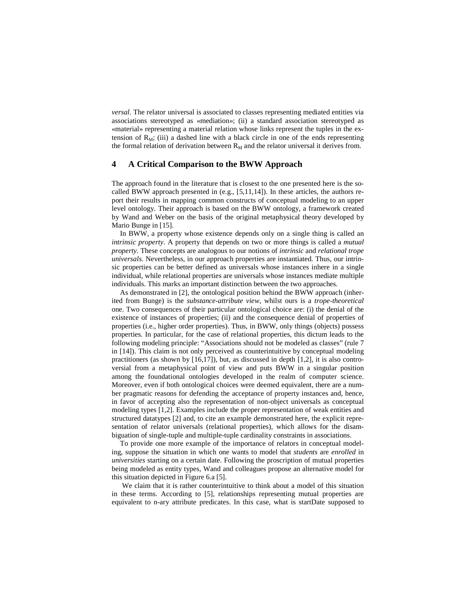*versal*. The relator universal is associated to classes representing mediated entities via associations stereotyped as «mediation»; (ii) a standard association stereotyped as «material» representing a material relation whose links represent the tuples in the extension of  $R_M$ ; (iii) a dashed line with a black circle in one of the ends representing the formal relation of derivation between  $R_M$  and the relator universal it derives from.

# **4 A Critical Comparison to the BWW Approach**

The approach found in the literature that is closest to the one presented here is the socalled BWW approach presented in  $(e.g., [5,11,14])$ . In these articles, the authors report their results in mapping common constructs of conceptual modeling to an upper level ontology. Their approach is based on the BWW ontology, a framework created by Wand and Weber on the basis of the original metaphysical theory developed by Mario Bunge in [15].

In BWW, a property whose existence depends only on a single thing is called an *intrinsic property*. A property that depends on two or more things is called a *mutual property*. These concepts are analogous to our notions of *intrinsic* and *relational trope universals*. Nevertheless, in our approach properties are instantiated. Thus, our intrinsic properties can be better defined as universals whose instances inhere in a single individual, while relational properties are universals whose instances mediate multiple individuals. This marks an important distinction between the two approaches.

As demonstrated in [2], the ontological position behind the BWW approach (inherited from Bunge) is the *substance-attribute view*, whilst ours is a *trope-theoretical* one. Two consequences of their particular ontological choice are: (i) the denial of the existence of instances of properties; (ii) and the consequence denial of properties of properties (i.e., higher order properties). Thus, in BWW, only things (objects) possess properties. In particular, for the case of relational properties, this dictum leads to the following modeling principle: "Associations should not be modeled as classes" (rule 7 in [14]). This claim is not only perceived as counterintuitive by conceptual modeling practitioners (as shown by  $[16,17]$ ), but, as discussed in depth  $[1,2]$ , it is also controversial from a metaphysical point of view and puts BWW in a singular position among the foundational ontologies developed in the realm of computer science. Moreover, even if both ontological choices were deemed equivalent, there are a number pragmatic reasons for defending the acceptance of property instances and, hence, in favor of accepting also the representation of non-object universals as conceptual modeling types [1,2]. Examples include the proper representation of weak entities and structured datatypes [2] and, to cite an example demonstrated here, the explicit representation of relator universals (relational properties), which allows for the disambiguation of single-tuple and multiple-tuple cardinality constraints in associations.

To provide one more example of the importance of relators in conceptual modeling, suppose the situation in which one wants to model that *students* are *enrolled* in *universities* starting on a certain date. Following the proscription of mutual properties being modeled as entity types, Wand and colleagues propose an alternative model for this situation depicted in Figure 6.a [5].

We claim that it is rather counterintuitive to think about a model of this situation in these terms. According to [5], relationships representing mutual properties are equivalent to n-ary attribute predicates. In this case, what is startDate supposed to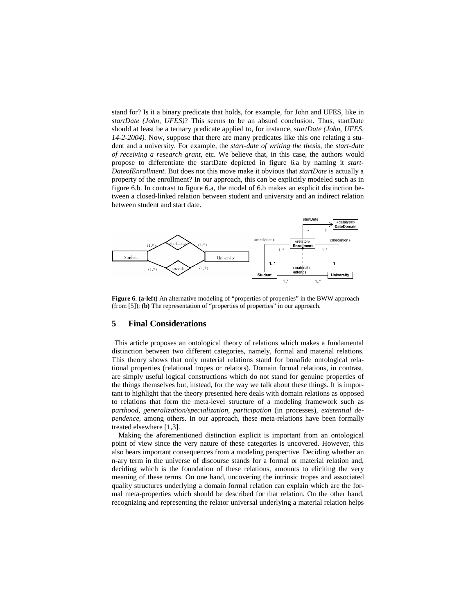stand for? Is it a binary predicate that holds, for example, for John and UFES, like in *startDate (John, UFES)*? This seems to be an absurd conclusion. Thus, startDate should at least be a ternary predicate applied to, for instance, *startDate (John, UFES, 14-2-2004).* Now, suppose that there are many predicates like this one relating a student and a university. For example, the *start-date of writing the thesis*, the *start-date of receiving a research grant*, etc. We believe that, in this case, the authors would propose to differentiate the startDate depicted in figure 6.a by naming it *start-DateofEnrollment*. But does not this move make it obvious that *startDate* is actually a property of the enrollment? In our approach, this can be explicitly modeled such as in figure 6.b. In contrast to figure 6.a, the model of 6.b makes an explicit distinction between a closed-linked relation between student and university and an indirect relation between student and start date.



Figure 6. (a-left) An alternative modeling of "properties of properties" in the BWW approach (from [5]); **(b)** The representation of "properties of properties" in our approach.

### **5 Final Considerations**

This article proposes an ontological theory of relations which makes a fundamental distinction between two different categories, namely, formal and material relations. This theory shows that only material relations stand for bonafide ontological relational properties (relational tropes or relators). Domain formal relations, in contrast, are simply useful logical constructions which do not stand for genuine properties of the things themselves but, instead, for the way we talk about these things. It is important to highlight that the theory presented here deals with domain relations as opposed to relations that form the meta-level structure of a modeling framework such as *parthood*, *generalization/specialization*, *participation* (in processes), *existential dependence*, among others. In our approach, these meta-relations have been formally treated elsewhere [1,3].

Making the aforementioned distinction explicit is important from an ontological point of view since the very nature of these categories is uncovered. However, this also bears important consequences from a modeling perspective. Deciding whether an n-ary term in the universe of discourse stands for a formal or material relation and, deciding which is the foundation of these relations, amounts to eliciting the very meaning of these terms. On one hand, uncovering the intrinsic tropes and associated quality structures underlying a domain formal relation can explain which are the formal meta-properties which should be described for that relation. On the other hand, recognizing and representing the relator universal underlying a material relation helps